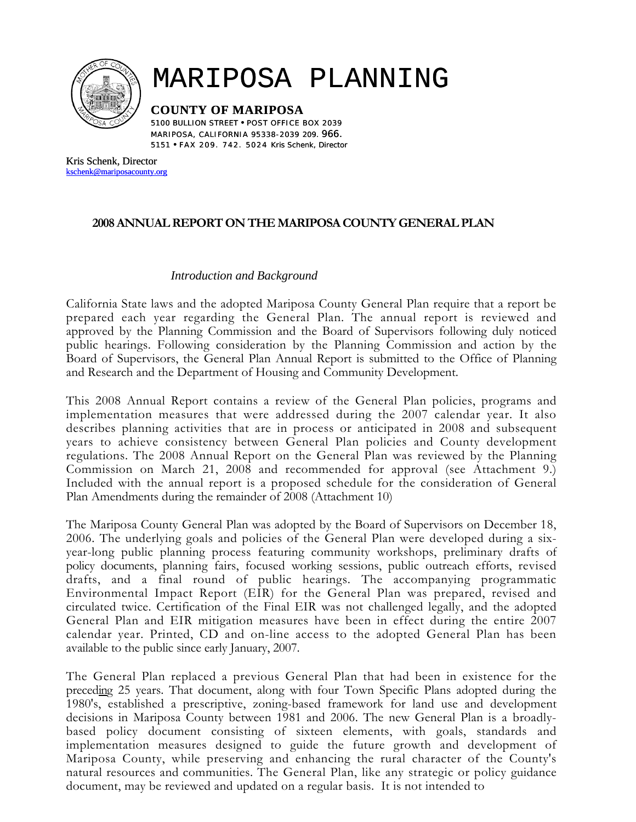

# MARIPOSA PLANNING

**COUNTY OF MARIPOSA** 

5100 BULLION STREET • POST OFFICE BOX 2039 MARIPOSA, CALIFORNIA 95338-2039 209. *966.*  5151 • FAX 209 . 742 . 5024 Kris Schenk, Director

Kris Schenk, Director [kschenk@mariposacounty.org](mailto:kschenk@mariposacounty.org)

# **2008 ANNUAL REPORT ON THE MARIPOSA COUNTY GENERAL PLAN**

#### *Introduction and Background*

California State laws and the adopted Mariposa County General Plan require that a report be prepared each year regarding the General Plan. The annual report is reviewed and approved by the Planning Commission and the Board of Supervisors following duly noticed public hearings. Following consideration by the Planning Commission and action by the Board of Supervisors, the General Plan Annual Report is submitted to the Office of Planning and Research and the Department of Housing and Community Development.

This 2008 Annual Report contains a review of the General Plan policies, programs and implementation measures that were addressed during the 2007 calendar year. It also describes planning activities that are in process or anticipated in 2008 and subsequent years to achieve consistency between General Plan policies and County development regulations. The 2008 Annual Report on the General Plan was reviewed by the Planning Commission on March 21, 2008 and recommended for approval (see Attachment 9.) Included with the annual report is a proposed schedule for the consideration of General Plan Amendments during the remainder of 2008 (Attachment 10)

The Mariposa County General Plan was adopted by the Board of Supervisors on December 18, 2006. The underlying goals and policies of the General Plan were developed during a sixyear-long public planning process featuring community workshops, preliminary drafts of policy documents, planning fairs, focused working sessions, public outreach efforts, revised drafts, and a final round of public hearings. The accompanying programmatic Environmental Impact Report (EIR) for the General Plan was prepared, revised and circulated twice. Certification of the Final EIR was not challenged legally, and the adopted General Plan and EIR mitigation measures have been in effect during the entire 2007 calendar year. Printed, CD and on-line access to the adopted General Plan has been available to the public since early January, 2007.

The General Plan replaced a previous General Plan that had been in existence for the preceding 25 years. That document, along with four Town Specific Plans adopted during the 1980's, established a prescriptive, zoning-based framework for land use and development decisions in Mariposa County between 1981 and 2006. The new General Plan is a broadlybased policy document consisting of sixteen elements, with goals, standards and implementation measures designed to guide the future growth and development of Mariposa County, while preserving and enhancing the rural character of the County's natural resources and communities. The General Plan, like any strategic or policy guidance document, may be reviewed and updated on a regular basis. It is not intended to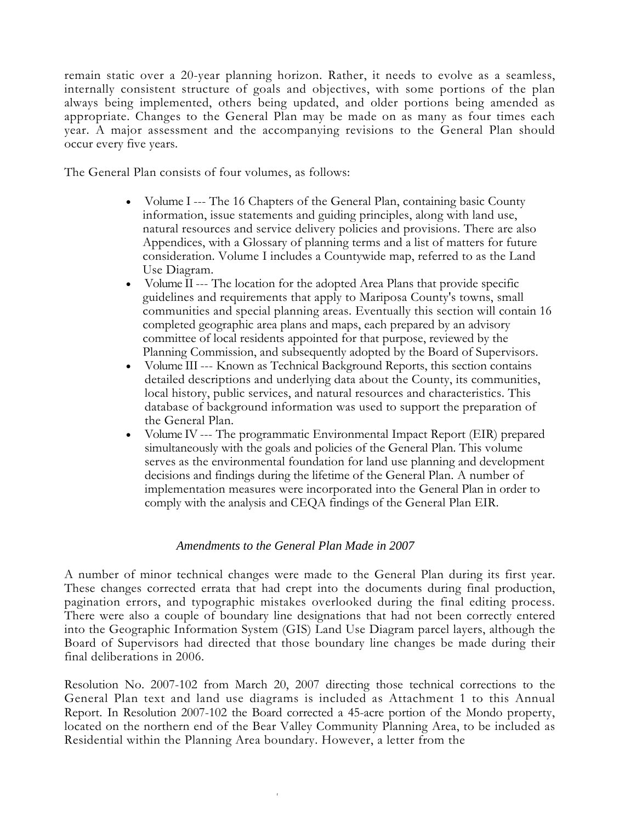remain static over a 20-year planning horizon. Rather, it needs to evolve as a seamless, internally consistent structure of goals and objectives, with some portions of the plan always being implemented, others being updated, and older portions being amended as appropriate. Changes to the General Plan may be made on as many as four times each year. A major assessment and the accompanying revisions to the General Plan should occur every five years.

The General Plan consists of four volumes, as follows:

- Volume I --- The 16 Chapters of the General Plan, containing basic County information, issue statements and guiding principles, along with land use, natural resources and service delivery policies and provisions. There are also Appendices, with a Glossary of planning terms and a list of matters for future consideration. Volume I includes a Countywide map, referred to as the Land Use Diagram.
- Volume II --- The location for the adopted Area Plans that provide specific guidelines and requirements that apply to Mariposa County's towns, small communities and special planning areas. Eventually this section will contain 16 completed geographic area plans and maps, each prepared by an advisory committee of local residents appointed for that purpose, reviewed by the Planning Commission, and subsequently adopted by the Board of Supervisors.
- Volume III --- Known as Technical Background Reports, this section contains detailed descriptions and underlying data about the County, its communities, local history, public services, and natural resources and characteristics. This database of background information was used to support the preparation of the General Plan.
- Volume IV --- The programmatic Environmental Impact Report (EIR) prepared simultaneously with the goals and policies of the General Plan. This volume serves as the environmental foundation for land use planning and development decisions and findings during the lifetime of the General Plan. A number of implementation measures were incorporated into the General Plan in order to comply with the analysis and CEQA findings of the General Plan EIR.

#### *Amendments to the General Plan Made in 2007*

A number of minor technical changes were made to the General Plan during its first year. These changes corrected errata that had crept into the documents during final production, pagination errors, and typographic mistakes overlooked during the final editing process. There were also a couple of boundary line designations that had not been correctly entered into the Geographic Information System (GIS) Land Use Diagram parcel layers, although the Board of Supervisors had directed that those boundary line changes be made during their final deliberations in 2006.

Resolution No. 2007-102 from March 20, 2007 directing those technical corrections to the General Plan text and land use diagrams is included as Attachment 1 to this Annual Report. In Resolution 2007-102 the Board corrected a 45-acre portion of the Mondo property, located on the northern end of the Bear Valley Community Planning Area, to be included as Residential within the Planning Area boundary. However, a letter from the

*f*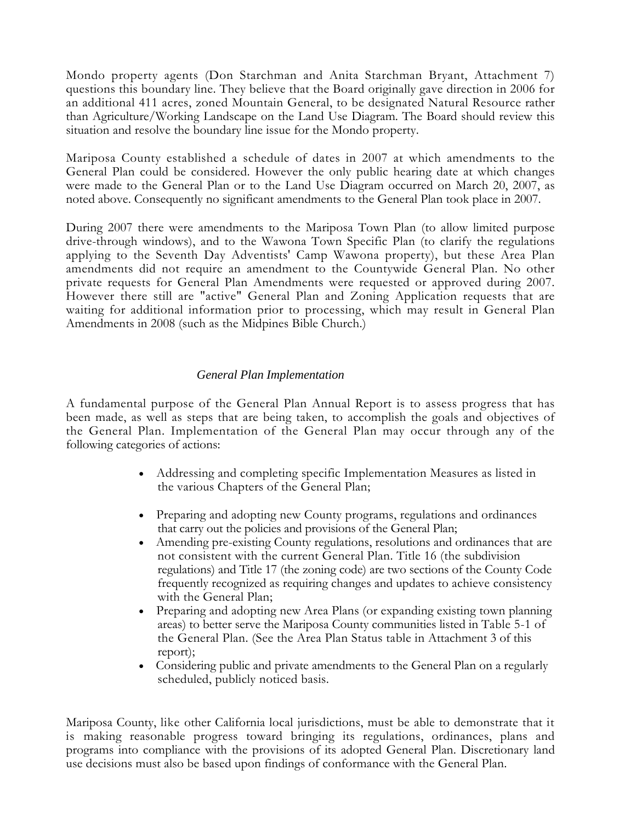Mondo property agents (Don Starchman and Anita Starchman Bryant, Attachment 7) questions this boundary line. They believe that the Board originally gave direction in 2006 for an additional 411 acres, zoned Mountain General, to be designated Natural Resource rather than Agriculture/Working Landscape on the Land Use Diagram. The Board should review this situation and resolve the boundary line issue for the Mondo property.

Mariposa County established a schedule of dates in 2007 at which amendments to the General Plan could be considered. However the only public hearing date at which changes were made to the General Plan or to the Land Use Diagram occurred on March 20, 2007, as noted above. Consequently no significant amendments to the General Plan took place in 2007.

During 2007 there were amendments to the Mariposa Town Plan (to allow limited purpose drive-through windows), and to the Wawona Town Specific Plan (to clarify the regulations applying to the Seventh Day Adventists' Camp Wawona property), but these Area Plan amendments did not require an amendment to the Countywide General Plan. No other private requests for General Plan Amendments were requested or approved during 2007. However there still are "active" General Plan and Zoning Application requests that are waiting for additional information prior to processing, which may result in General Plan Amendments in 2008 (such as the Midpines Bible Church.)

#### *General Plan Implementation*

A fundamental purpose of the General Plan Annual Report is to assess progress that has been made, as well as steps that are being taken, to accomplish the goals and objectives of the General Plan. Implementation of the General Plan may occur through any of the following categories of actions:

- Addressing and completing specific Implementation Measures as listed in the various Chapters of the General Plan;
- Preparing and adopting new County programs, regulations and ordinances that carry out the policies and provisions of the General Plan;
- Amending pre-existing County regulations, resolutions and ordinances that are not consistent with the current General Plan. Title 16 (the subdivision regulations) and Title 17 (the zoning code) are two sections of the County Code frequently recognized as requiring changes and updates to achieve consistency with the General Plan;
- Preparing and adopting new Area Plans (or expanding existing town planning areas) to better serve the Mariposa County communities listed in Table 5-1 of the General Plan. (See the Area Plan Status table in Attachment 3 of this report);
- Considering public and private amendments to the General Plan on a regularly scheduled, publicly noticed basis.

Mariposa County, like other California local jurisdictions, must be able to demonstrate that it is making reasonable progress toward bringing its regulations, ordinances, plans and programs into compliance with the provisions of its adopted General Plan. Discretionary land use decisions must also be based upon findings of conformance with the General Plan.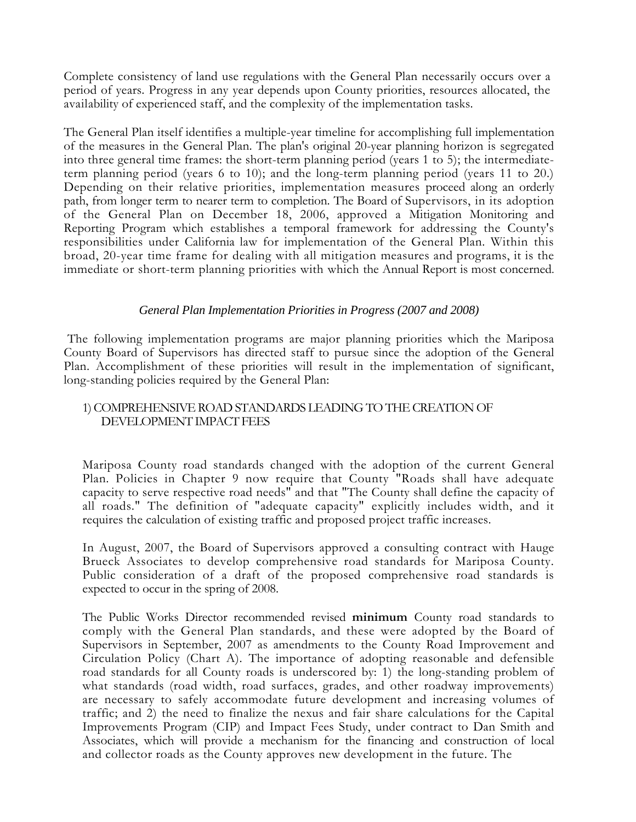Complete consistency of land use regulations with the General Plan necessarily occurs over a period of years. Progress in any year depends upon County priorities, resources allocated, the availability of experienced staff, and the complexity of the implementation tasks.

The General Plan itself identifies a multiple-year timeline for accomplishing full implementation of the measures in the General Plan. The plan's original 20-year planning horizon is segregated into three general time frames: the short-term planning period (years 1 to 5); the intermediateterm planning period (years 6 to 10); and the long-term planning period (years 11 to 20.) Depending on their relative priorities, implementation measures proceed along an orderly path, from longer term to nearer term to completion. The Board of Supervisors, in its adoption of the General Plan on December 18, 2006, approved a Mitigation Monitoring and Reporting Program which establishes a temporal framework for addressing the County's responsibilities under California law for implementation of the General Plan. Within this broad, 20-year time frame for dealing with all mitigation measures and programs, it is the immediate or short-term planning priorities with which the Annual Report is most concerned.

#### *General Plan Implementation Priorities in Progress (2007 and 2008)*

The following implementation programs are major planning priorities which the Mariposa County Board of Supervisors has directed staff to pursue since the adoption of the General Plan. Accomplishment of these priorities will result in the implementation of significant, long-standing policies required by the General Plan:

#### 1) COMPREHENSIVE ROAD STANDARDS LEADING TO THE CREATION OF DEVELOPMENT IMPACT FEES

Mariposa County road standards changed with the adoption of the current General Plan. Policies in Chapter 9 now require that County "Roads shall have adequate capacity to serve respective road needs" and that "The County shall define the capacity of all roads." The definition of "adequate capacity" explicitly includes width, and it requires the calculation of existing traffic and proposed project traffic increases.

In August, 2007, the Board of Supervisors approved a consulting contract with Hauge Brueck Associates to develop comprehensive road standards for Mariposa County. Public consideration of a draft of the proposed comprehensive road standards is expected to occur in the spring of 2008.

The Public Works Director recommended revised **minimum** County road standards to comply with the General Plan standards, and these were adopted by the Board of Supervisors in September, 2007 as amendments to the County Road Improvement and Circulation Policy (Chart A). The importance of adopting reasonable and defensible road standards for all County roads is underscored by: 1) the long-standing problem of what standards (road width, road surfaces, grades, and other roadway improvements) are necessary to safely accommodate future development and increasing volumes of traffic; and 2) the need to finalize the nexus and fair share calculations for the Capital Improvements Program (CIP) and Impact Fees Study, under contract to Dan Smith and Associates, which will provide a mechanism for the financing and construction of local and collector roads as the County approves new development in the future. The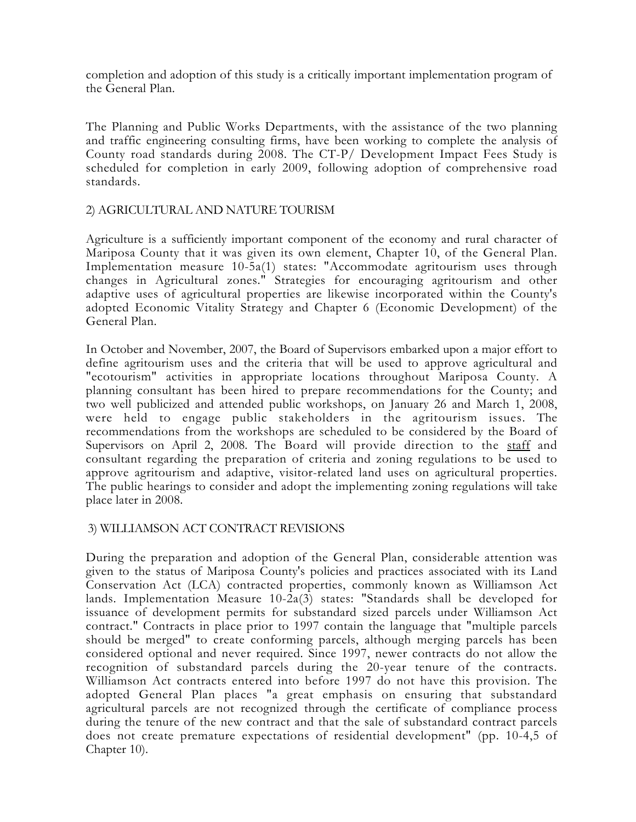completion and adoption of this study is a critically important implementation program of the General Plan.

The Planning and Public Works Departments, with the assistance of the two planning and traffic engineering consulting firms, have been working to complete the analysis of County road standards during 2008. The CT-P/ Development Impact Fees Study is scheduled for completion in early 2009, following adoption of comprehensive road standards.

#### 2) AGRICULTURAL AND NATURE TOURISM

Agriculture is a sufficiently important component of the economy and rural character of Mariposa County that it was given its own element, Chapter 10, of the General Plan. Implementation measure 10-5a(1) states: "Accommodate agritourism uses through changes in Agricultural zones." Strategies for encouraging agritourism and other adaptive uses of agricultural properties are likewise incorporated within the County's adopted Economic Vitality Strategy and Chapter 6 (Economic Development) of the General Plan.

In October and November, 2007, the Board of Supervisors embarked upon a major effort to define agritourism uses and the criteria that will be used to approve agricultural and "ecotourism" activities in appropriate locations throughout Mariposa County. A planning consultant has been hired to prepare recommendations for the County; and two well publicized and attended public workshops, on January 26 and March 1, 2008, were held to engage public stakeholders in the agritourism issues. The recommendations from the workshops are scheduled to be considered by the Board of Supervisors on April 2, 2008. The Board will provide direction to the staff and consultant regarding the preparation of criteria and zoning regulations to be used to approve agritourism and adaptive, visitor-related land uses on agricultural properties. The public hearings to consider and adopt the implementing zoning regulations will take place later in 2008.

#### 3) WILLIAMSON ACT CONTRACT REVISIONS

During the preparation and adoption of the General Plan, considerable attention was given to the status of Mariposa County's policies and practices associated with its Land Conservation Act (LCA) contracted properties, commonly known as Williamson Act lands. Implementation Measure 10-2a(3) states: "Standards shall be developed for issuance of development permits for substandard sized parcels under Williamson Act contract." Contracts in place prior to 1997 contain the language that "multiple parcels should be merged" to create conforming parcels, although merging parcels has been considered optional and never required. Since 1997, newer contracts do not allow the recognition of substandard parcels during the 20-year tenure of the contracts. Williamson Act contracts entered into before 1997 do not have this provision. The adopted General Plan places "a great emphasis on ensuring that substandard agricultural parcels are not recognized through the certificate of compliance process during the tenure of the new contract and that the sale of substandard contract parcels does not create premature expectations of residential development" (pp. 10-4,5 of Chapter 10).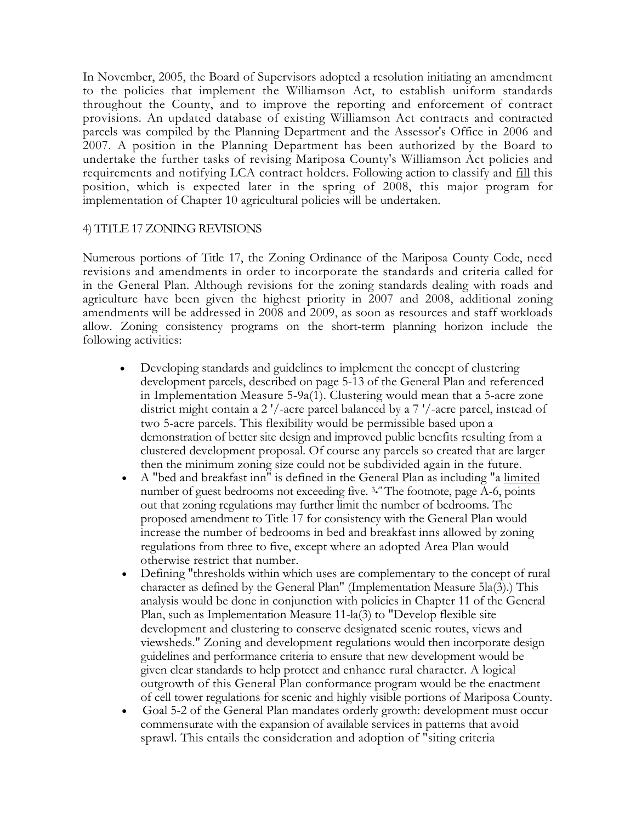In November, 2005, the Board of Supervisors adopted a resolution initiating an amendment to the policies that implement the Williamson Act, to establish uniform standards throughout the County, and to improve the reporting and enforcement of contract provisions. An updated database of existing Williamson Act contracts and contracted parcels was compiled by the Planning Department and the Assessor's Office in 2006 and 2007. A position in the Planning Department has been authorized by the Board to undertake the further tasks of revising Mariposa County's Williamson Act policies and requirements and notifying LCA contract holders. Following action to classify and fill this position, which is expected later in the spring of 2008, this major program for implementation of Chapter 10 agricultural policies will be undertaken.

#### 4) TITLE 17 ZONING REVISIONS

Numerous portions of Title 17, the Zoning Ordinance of the Mariposa County Code, need revisions and amendments in order to incorporate the standards and criteria called for in the General Plan. Although revisions for the zoning standards dealing with roads and agriculture have been given the highest priority in 2007 and 2008, additional zoning amendments will be addressed in 2008 and 2009, as soon as resources and staff workloads allow. Zoning consistency programs on the short-term planning horizon include the following activities:

- Developing standards and guidelines to implement the concept of clustering development parcels, described on page 5-13 of the General Plan and referenced in Implementation Measure 5-9a(1). Clustering would mean that a 5-acre zone district might contain a 2 '/-acre parcel balanced by a 7 '/-acre parcel, instead of two 5-acre parcels. This flexibility would be permissible based upon a demonstration of better site design and improved public benefits resulting from a clustered development proposal. Of course any parcels so created that are larger then the minimum zoning size could not be subdivided again in the future.
- A "bed and breakfast inn" is defined in the General Plan as including "a limited number of guest bedrooms not exceeding five. <sup>3</sup> The footnote, page A-6, points out that zoning regulations may further limit the number of bedrooms. The proposed amendment to Title 17 for consistency with the General Plan would increase the number of bedrooms in bed and breakfast inns allowed by zoning regulations from three to five, except where an adopted Area Plan would otherwise restrict that number.
- Defining "thresholds within which uses are complementary to the concept of rural character as defined by the General Plan" (Implementation Measure 5la(3).) This analysis would be done in conjunction with policies in Chapter 11 of the General Plan, such as Implementation Measure 11-la(3) to "Develop flexible site development and clustering to conserve designated scenic routes, views and viewsheds." Zoning and development regulations would then incorporate design guidelines and performance criteria to ensure that new development would be given clear standards to help protect and enhance rural character. A logical outgrowth of this General Plan conformance program would be the enactment of cell tower regulations for scenic and highly visible portions of Mariposa County.
- Goal 5-2 of the General Plan mandates orderly growth: development must occur commensurate with the expansion of available services in patterns that avoid sprawl. This entails the consideration and adoption of "siting criteria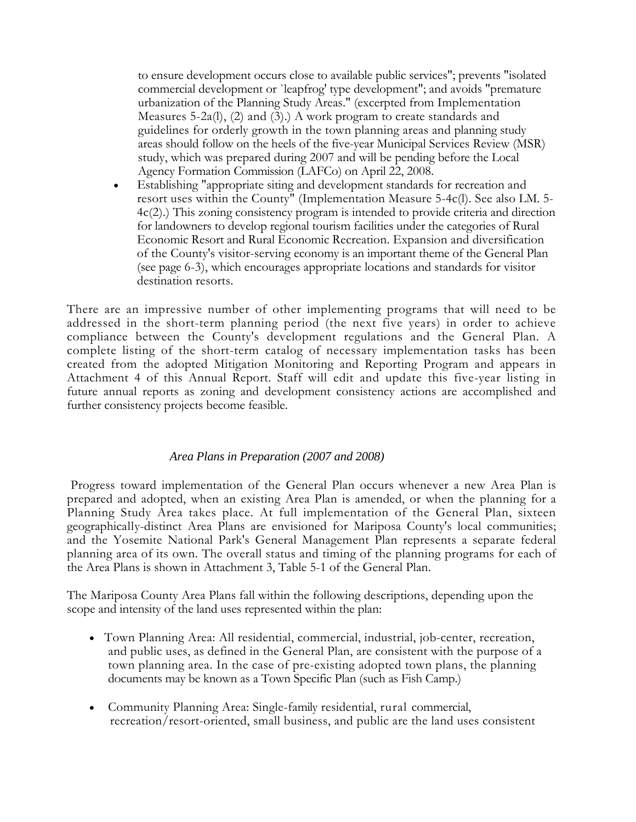to ensure development occurs close to available public services"; prevents "isolated commercial development or `leapfrog' type development"; and avoids "premature urbanization of the Planning Study Areas." (excerpted from Implementation Measures 5-2a(l), (2) and (3).) A work program to create standards and guidelines for orderly growth in the town planning areas and planning study areas should follow on the heels of the five-year Municipal Services Review (MSR) study, which was prepared during 2007 and will be pending before the Local Agency Formation Commission (LAFCo) on April 22, 2008.

• Establishing "appropriate siting and development standards for recreation and resort uses within the County" (Implementation Measure 5-4c(l). See also LM. 5- 4c(2).) This zoning consistency program is intended to provide criteria and direction for landowners to develop regional tourism facilities under the categories of Rural Economic Resort and Rural Economic Recreation. Expansion and diversification of the County's visitor-serving economy is an important theme of the General Plan (see page 6-3), which encourages appropriate locations and standards for visitor destination resorts.

There are an impressive number of other implementing programs that will need to be addressed in the short-term planning period (the next five years) in order to achieve compliance between the County's development regulations and the General Plan. A complete listing of the short-term catalog of necessary implementation tasks has been created from the adopted Mitigation Monitoring and Reporting Program and appears in Attachment 4 of this Annual Report. Staff will edit and update this five-year listing in future annual reports as zoning and development consistency actions are accomplished and further consistency projects become feasible.

#### *Area Plans in Preparation (2007 and 2008)*

Progress toward implementation of the General Plan occurs whenever a new Area Plan is prepared and adopted, when an existing Area Plan is amended, or when the planning for a Planning Study Area takes place. At full implementation of the General Plan, sixteen geographically-distinct Area Plans are envisioned for Mariposa County's local communities; and the Yosemite National Park's General Management Plan represents a separate federal planning area of its own. The overall status and timing of the planning programs for each of the Area Plans is shown in Attachment 3, Table 5-1 of the General Plan.

The Mariposa County Area Plans fall within the following descriptions, depending upon the scope and intensity of the land uses represented within the plan:

- Town Planning Area: All residential, commercial, industrial, job-center, recreation, and public uses, as defined in the General Plan, are consistent with the purpose of a town planning area. In the case of pre-existing adopted town plans, the planning documents may be known as a Town Specific Plan (such as Fish Camp.)
- Community Planning Area: Single-family residential, rural commercial, recreation/resort-oriented, small business, and public are the land uses consistent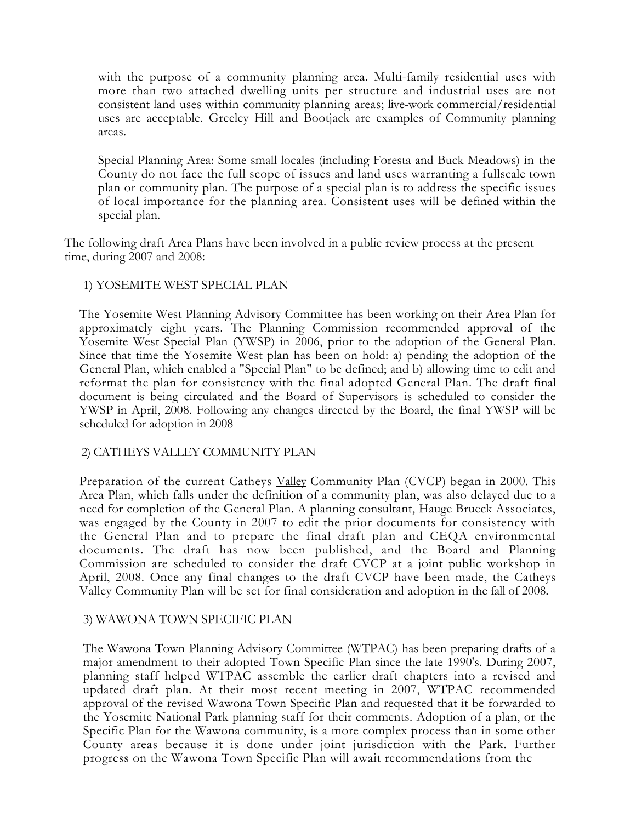with the purpose of a community planning area. Multi-family residential uses with more than two attached dwelling units per structure and industrial uses are not consistent land uses within community planning areas; live-work commercial/residential uses are acceptable. Greeley Hill and Bootjack are examples of Community planning areas.

Special Planning Area: Some small locales (including Foresta and Buck Meadows) in the County do not face the full scope of issues and land uses warranting a fullscale town plan or community plan. The purpose of a special plan is to address the specific issues of local importance for the planning area. Consistent uses will be defined within the special plan.

The following draft Area Plans have been involved in a public review process at the present time, during 2007 and 2008:

# 1) YOSEMITE WEST SPECIAL PLAN

The Yosemite West Planning Advisory Committee has been working on their Area Plan for approximately eight years. The Planning Commission recommended approval of the Yosemite West Special Plan (YWSP) in 2006, prior to the adoption of the General Plan. Since that time the Yosemite West plan has been on hold: a) pending the adoption of the General Plan, which enabled a "Special Plan" to be defined; and b) allowing time to edit and reformat the plan for consistency with the final adopted General Plan. The draft final document is being circulated and the Board of Supervisors is scheduled to consider the YWSP in April, 2008. Following any changes directed by the Board, the final YWSP will be scheduled for adoption in 2008

#### 2) CATHEYS VALLEY COMMUNITY PLAN

Preparation of the current Catheys Valley Community Plan (CVCP) began in 2000. This Area Plan, which falls under the definition of a community plan, was also delayed due to a need for completion of the General Plan. A planning consultant, Hauge Brueck Associates, was engaged by the County in 2007 to edit the prior documents for consistency with the General Plan and to prepare the final draft plan and CEQA environmental documents. The draft has now been published, and the Board and Planning Commission are scheduled to consider the draft CVCP at a joint public workshop in April, 2008. Once any final changes to the draft CVCP have been made, the Catheys Valley Community Plan will be set for final consideration and adoption in the fall of 2008.

#### 3) WAWONA TOWN SPECIFIC PLAN

The Wawona Town Planning Advisory Committee (WTPAC) has been preparing drafts of a major amendment to their adopted Town Specific Plan since the late 1990's. During 2007, planning staff helped WTPAC assemble the earlier draft chapters into a revised and updated draft plan. At their most recent meeting in 2007, WTPAC recommended approval of the revised Wawona Town Specific Plan and requested that it be forwarded to the Yosemite National Park planning staff for their comments. Adoption of a plan, or the Specific Plan for the Wawona community, is a more complex process than in some other County areas because it is done under joint jurisdiction with the Park. Further progress on the Wawona Town Specific Plan will await recommendations from the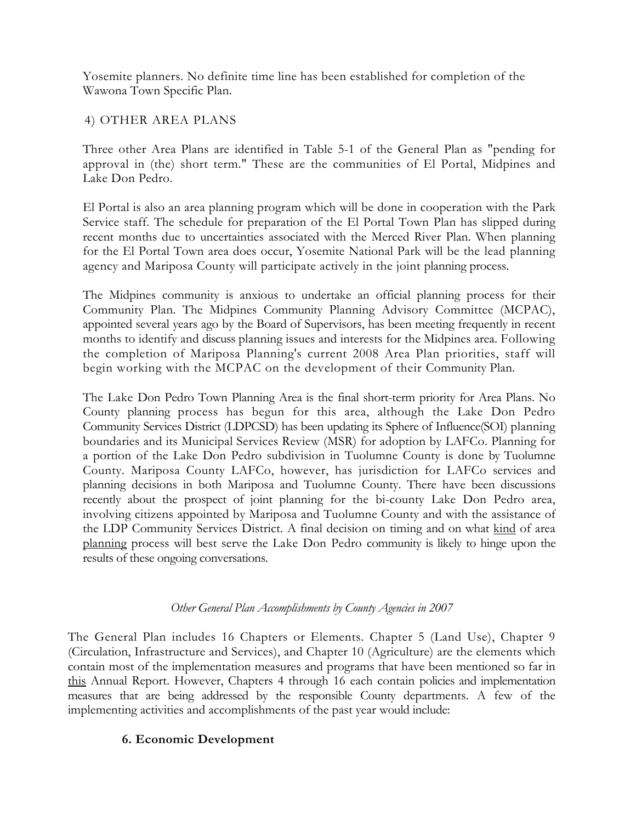Yosemite planners. No definite time line has been established for completion of the Wawona Town Specific Plan.

4) OTHER AREA PLANS

Three other Area Plans are identified in Table 5-1 of the General Plan as "pending for approval in (the) short term." These are the communities of El Portal, Midpines and Lake Don Pedro.

El Portal is also an area planning program which will be done in cooperation with the Park Service staff. The schedule for preparation of the El Portal Town Plan has slipped during recent months due to uncertainties associated with the Merced River Plan. When planning for the El Portal Town area does occur, Yosemite National Park will be the lead planning agency and Mariposa County will participate actively in the joint planning process.

The Midpines community is anxious to undertake an official planning process for their Community Plan. The Midpines Community Planning Advisory Committee (MCPAC), appointed several years ago by the Board of Supervisors, has been meeting frequently in recent months to identify and discuss planning issues and interests for the Midpines area. Following the completion of Mariposa Planning's current 2008 Area Plan priorities, staff will begin working with the MCPAC on the development of their Community Plan.

The Lake Don Pedro Town Planning Area is the final short-term priority for Area Plans. No County planning process has begun for this area, although the Lake Don Pedro Community Services District (LDPCSD) has been updating its Sphere of Influence(SOI) planning boundaries and its Municipal Services Review (MSR) for adoption by LAFCo. Planning for a portion of the Lake Don Pedro subdivision in Tuolumne County is done by Tuolumne County. Mariposa County LAFCo, however, has jurisdiction for LAFCo services and planning decisions in both Mariposa and Tuolumne County. There have been discussions recently about the prospect of joint planning for the bi-county Lake Don Pedro area, involving citizens appointed by Mariposa and Tuolumne County and with the assistance of the LDP Community Services District. A final decision on timing and on what kind of area planning process will best serve the Lake Don Pedro community is likely to hinge upon the results of these ongoing conversations.

# *Other General Plan Accomplishments by County Agencies in 2007*

The General Plan includes 16 Chapters or Elements. Chapter 5 (Land Use), Chapter 9 (Circulation, Infrastructure and Services), and Chapter 10 (Agriculture) are the elements which contain most of the implementation measures and programs that have been mentioned so far in this Annual Report. However, Chapters 4 through 16 each contain policies and implementation measures that are being addressed by the responsible County departments. A few of the implementing activities and accomplishments of the past year would include:

# **6. Economic Development**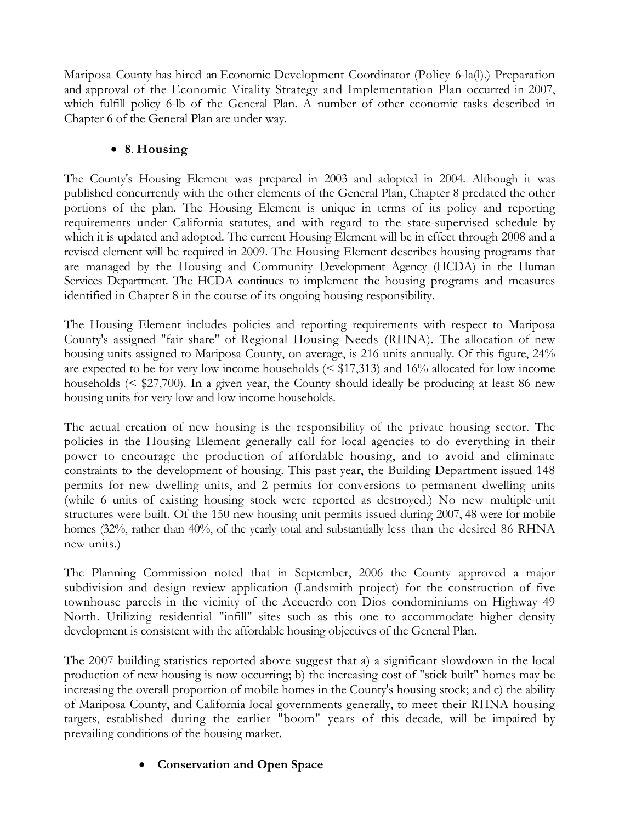Mariposa County has hired an Economic Development Coordinator (Policy 6-la(l).) Preparation and approval of the Economic Vitality Strategy and Implementation Plan occurred in 2007, which fulfill policy 6-lb of the General Plan. A number of other economic tasks described in Chapter 6 of the General Plan are under way.

# • **8**. **Housing**

The County's Housing Element was prepared in 2003 and adopted in 2004. Although it was published concurrently with the other elements of the General Plan, Chapter 8 predated the other portions of the plan. The Housing Element is unique in terms of its policy and reporting requirements under California statutes, and with regard to the state-supervised schedule by which it is updated and adopted. The current Housing Element will be in effect through 2008 and a revised element will be required in 2009. The Housing Element describes housing programs that are managed by the Housing and Community Development Agency (HCDA) in the Human Services Department. The HCDA continues to implement the housing programs and measures identified in Chapter 8 in the course of its ongoing housing responsibility.

The Housing Element includes policies and reporting requirements with respect to Mariposa County's assigned "fair share" of Regional Housing Needs (RHNA). The allocation of new housing units assigned to Mariposa County, on average, is 216 units annually. Of this figure, 24% are expected to be for very low income households ( $\leq$  \$17,313) and 16% allocated for low income households (< \$27,700). In a given year, the County should ideally be producing at least 86 new housing units for very low and low income households.

The actual creation of new housing is the responsibility of the private housing sector. The policies in the Housing Element generally call for local agencies to do everything in their power to encourage the production of affordable housing, and to avoid and eliminate constraints to the development of housing. This past year, the Building Department issued 148 permits for new dwelling units, and 2 permits for conversions to permanent dwelling units (while 6 units of existing housing stock were reported as destroyed.) No new multiple-unit structures were built. Of the 150 new housing unit permits issued during 2007, 48 were for mobile homes (32%, rather than 40%, of the yearly total and substantially less than the desired 86 RHNA new units.)

The Planning Commission noted that in September, 2006 the County approved a major subdivision and design review application (Landsmith project) for the construction of five townhouse parcels in the vicinity of the Accuerdo con Dios condominiums on Highway 49 North. Utilizing residential "infill" sites such as this one to accommodate higher density development is consistent with the affordable housing objectives of the General Plan.

The 2007 building statistics reported above suggest that a) a significant slowdown in the local production of new housing is now occurring; b) the increasing cost of "stick built" homes may be increasing the overall proportion of mobile homes in the County's housing stock; and c) the ability of Mariposa County, and California local governments generally, to meet their RHNA housing targets, established during the earlier "boom" years of this decade, will be impaired by prevailing conditions of the housing market.

# • **Conservation and Open Space**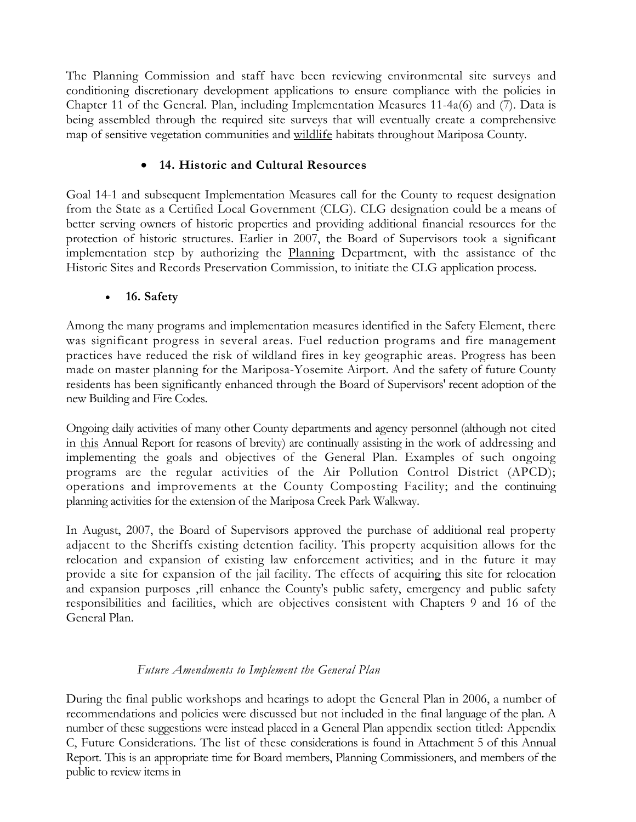The Planning Commission and staff have been reviewing environmental site surveys and conditioning discretionary development applications to ensure compliance with the policies in Chapter 11 of the General. Plan, including Implementation Measures 11-4a(6) and (7). Data is being assembled through the required site surveys that will eventually create a comprehensive map of sensitive vegetation communities and wildlife habitats throughout Mariposa County.

# • **14. Historic and Cultural Resources**

Goal 14-1 and subsequent Implementation Measures call for the County to request designation from the State as a Certified Local Government (CLG). CLG designation could be a means of better serving owners of historic properties and providing additional financial resources for the protection of historic structures. Earlier in 2007, the Board of Supervisors took a significant implementation step by authorizing the Planning Department, with the assistance of the Historic Sites and Records Preservation Commission, to initiate the CLG application process.

# • **16. Safety**

Among the many programs and implementation measures identified in the Safety Element, there was significant progress in several areas. Fuel reduction programs and fire management practices have reduced the risk of wildland fires in key geographic areas. Progress has been made on master planning for the Mariposa-Yosemite Airport. And the safety of future County residents has been significantly enhanced through the Board of Supervisors' recent adoption of the new Building and Fire Codes.

Ongoing daily activities of many other County departments and agency personnel (although not cited in this Annual Report for reasons of brevity) are continually assisting in the work of addressing and implementing the goals and objectives of the General Plan. Examples of such ongoing programs are the regular activities of the Air Pollution Control District (APCD); operations and improvements at the County Composting Facility; and the continuing planning activities for the extension of the Mariposa Creek Park Walkway.

In August, 2007, the Board of Supervisors approved the purchase of additional real property adjacent to the Sheriffs existing detention facility. This property acquisition allows for the relocation and expansion of existing law enforcement activities; and in the future it may provide a site for expansion of the jail facility. The effects of acquiring this site for relocation and expansion purposes ,rill enhance the County's public safety, emergency and public safety responsibilities and facilities, which are objectives consistent with Chapters 9 and 16 of the General Plan.

# *Future Amendments to Implement the General Plan*

During the final public workshops and hearings to adopt the General Plan in 2006, a number of recommendations and policies were discussed but not included in the final language of the plan. A number of these suggestions were instead placed in a General Plan appendix section titled: Appendix C, Future Considerations. The list of these considerations is found in Attachment 5 of this Annual Report. This is an appropriate time for Board members, Planning Commissioners, and members of the public to review items in